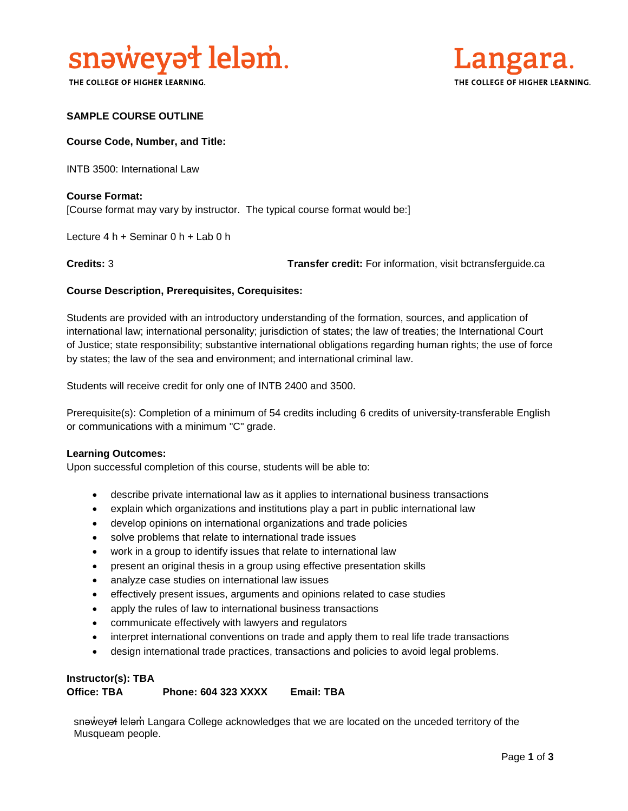

THE COLLEGE OF HIGHER LEARNING.



### **SAMPLE COURSE OUTLINE**

#### **Course Code, Number, and Title:**

INTB 3500: International Law

### **Course Format:** [Course format may vary by instructor. The typical course format would be:]

Lecture 4 h + Seminar 0 h + Lab 0 h

**Credits:** 3 **Transfer credit:** For information, visit bctransferguide.ca

#### **Course Description, Prerequisites, Corequisites:**

Students are provided with an introductory understanding of the formation, sources, and application of international law; international personality; jurisdiction of states; the law of treaties; the International Court of Justice; state responsibility; substantive international obligations regarding human rights; the use of force by states; the law of the sea and environment; and international criminal law.

Students will receive credit for only one of INTB 2400 and 3500.

Prerequisite(s): Completion of a minimum of 54 credits including 6 credits of university-transferable English or communications with a minimum "C" grade.

#### **Learning Outcomes:**

Upon successful completion of this course, students will be able to:

- describe private international law as it applies to international business transactions
- explain which organizations and institutions play a part in public international law
- develop opinions on international organizations and trade policies
- solve problems that relate to international trade issues
- work in a group to identify issues that relate to international law
- present an original thesis in a group using effective presentation skills
- analyze case studies on international law issues
- effectively present issues, arguments and opinions related to case studies
- apply the rules of law to international business transactions
- communicate effectively with lawyers and regulators
- interpret international conventions on trade and apply them to real life trade transactions
- design international trade practices, transactions and policies to avoid legal problems.

#### **Instructor(s): TBA Office: TBA Phone: 604 323 XXXX Email: TBA**

snaweyał lelam Langara College acknowledges that we are located on the unceded territory of the Musqueam people.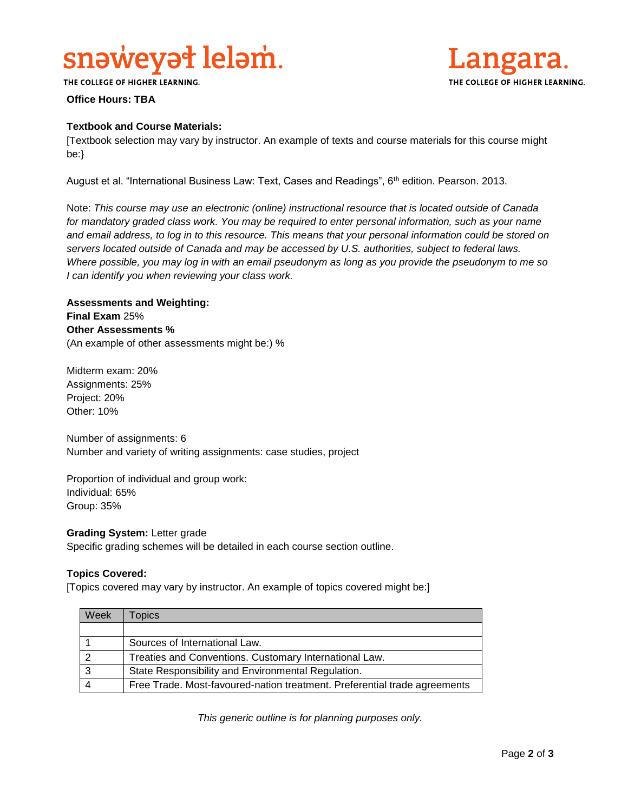## snəweyət leləm.



THE COLLEGE OF HIGHER LEARNING.

## **Office Hours: TBA**

### **Textbook and Course Materials:**

[Textbook selection may vary by instructor. An example of texts and course materials for this course might be:}

August et al. "International Business Law: Text, Cases and Readings", 6th edition. Pearson. 2013.

Note: *This course may use an electronic (online) instructional resource that is located outside of Canada*  for mandatory graded class work. You may be required to enter personal information, such as your name *and email address, to log in to this resource. This means that your personal information could be stored on servers located outside of Canada and may be accessed by U.S. authorities, subject to federal laws. Where possible, you may log in with an email pseudonym as long as you provide the pseudonym to me so I can identify you when reviewing your class work.* 

## **Assessments and Weighting: Final Exam** 25% **Other Assessments %** (An example of other assessments might be:) %

Midterm exam: 20% Assignments: 25% Project: 20% Other: 10%

Number of assignments: 6 Number and variety of writing assignments: case studies, project

Proportion of individual and group work: Individual: 65% Group: 35%

**Grading System:** Letter grade Specific grading schemes will be detailed in each course section outline.

#### **Topics Covered:**

[Topics covered may vary by instructor. An example of topics covered might be:]

| Week | <b>Topics</b>                                                             |
|------|---------------------------------------------------------------------------|
|      |                                                                           |
|      | Sources of International Law.                                             |
|      | Treaties and Conventions. Customary International Law.                    |
| ີ    | State Responsibility and Environmental Regulation.                        |
|      | Free Trade. Most-favoured-nation treatment. Preferential trade agreements |

*This generic outline is for planning purposes only.*